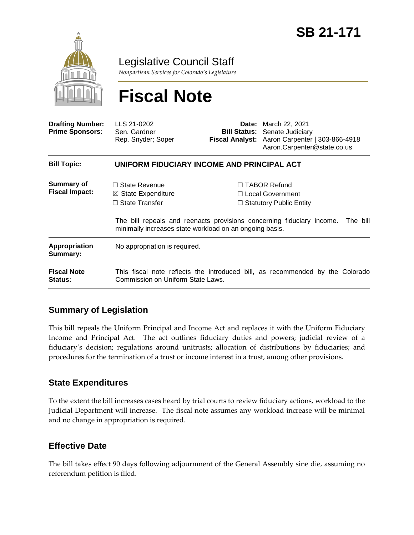

Legislative Council Staff

*Nonpartisan Services for Colorado's Legislature*

# **Fiscal Note**

| <b>Drafting Number:</b><br><b>Prime Sponsors:</b> | LLS 21-0202<br>Sen. Gardner<br>Rep. Snyder; Soper                                                                                         |  | <b>Date:</b> March 22, 2021<br><b>Bill Status:</b> Senate Judiciary<br>Fiscal Analyst: Aaron Carpenter   303-866-4918<br>Aaron.Carpenter@state.co.us             |
|---------------------------------------------------|-------------------------------------------------------------------------------------------------------------------------------------------|--|------------------------------------------------------------------------------------------------------------------------------------------------------------------|
| <b>Bill Topic:</b>                                | UNIFORM FIDUCIARY INCOME AND PRINCIPAL ACT                                                                                                |  |                                                                                                                                                                  |
| <b>Summary of</b><br><b>Fiscal Impact:</b>        | $\Box$ State Revenue<br>$\boxtimes$ State Expenditure<br>$\Box$ State Transfer<br>minimally increases state workload on an ongoing basis. |  | $\Box$ TABOR Refund<br>□ Local Government<br>$\Box$ Statutory Public Entity<br>The bill repeals and reenacts provisions concerning fiduciary income.<br>The bill |
| <b>Appropriation</b><br>Summary:                  | No appropriation is required.                                                                                                             |  |                                                                                                                                                                  |
| <b>Fiscal Note</b><br><b>Status:</b>              | This fiscal note reflects the introduced bill, as recommended by the Colorado<br>Commission on Uniform State Laws.                        |  |                                                                                                                                                                  |

### **Summary of Legislation**

This bill repeals the Uniform Principal and Income Act and replaces it with the Uniform Fiduciary Income and Principal Act. The act outlines fiduciary duties and powers; judicial review of a fiduciary's decision; regulations around unitrusts; allocation of distributions by fiduciaries; and procedures for the termination of a trust or income interest in a trust, among other provisions.

#### **State Expenditures**

To the extent the bill increases cases heard by trial courts to review fiduciary actions, workload to the Judicial Department will increase. The fiscal note assumes any workload increase will be minimal and no change in appropriation is required.

### **Effective Date**

The bill takes effect 90 days following adjournment of the General Assembly sine die, assuming no referendum petition is filed.